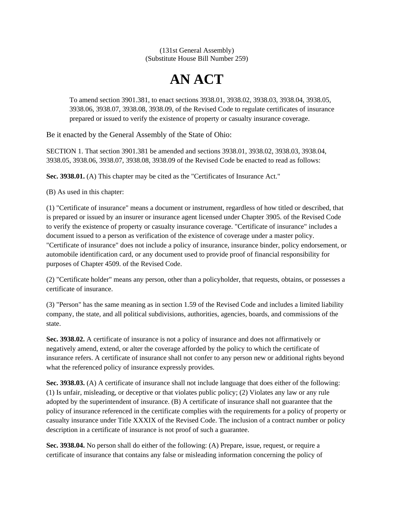(131st General Assembly) (Substitute House Bill Number 259)

## **AN ACT**

To amend section 3901.381, to enact sections 3938.01, 3938.02, 3938.03, 3938.04, 3938.05, 3938.06, 3938.07, 3938.08, 3938.09, of the Revised Code to regulate certificates of insurance prepared or issued to verify the existence of property or casualty insurance coverage.

Be it enacted by the General Assembly of the State of Ohio:

SECTION 1. That section 3901.381 be amended and sections 3938.01, 3938.02, 3938.03, 3938.04, 3938.05, 3938.06, 3938.07, 3938.08, 3938.09 of the Revised Code be enacted to read as follows:

**Sec. 3938.01.** (A) This chapter may be cited as the "Certificates of Insurance Act."

(B) As used in this chapter:

(1) "Certificate of insurance" means a document or instrument, regardless of how titled or described, that is prepared or issued by an insurer or insurance agent licensed under Chapter 3905. of the Revised Code to verify the existence of property or casualty insurance coverage. "Certificate of insurance" includes a document issued to a person as verification of the existence of coverage under a master policy. "Certificate of insurance" does not include a policy of insurance, insurance binder, policy endorsement, or automobile identification card, or any document used to provide proof of financial responsibility for purposes of Chapter 4509. of the Revised Code.

(2) "Certificate holder" means any person, other than a policyholder, that requests, obtains, or possesses a certificate of insurance.

(3) "Person" has the same meaning as in section 1.59 of the Revised Code and includes a limited liability company, the state, and all political subdivisions, authorities, agencies, boards, and commissions of the state.

**Sec. 3938.02.** A certificate of insurance is not a policy of insurance and does not affirmatively or negatively amend, extend, or alter the coverage afforded by the policy to which the certificate of insurance refers. A certificate of insurance shall not confer to any person new or additional rights beyond what the referenced policy of insurance expressly provides.

**Sec. 3938.03.** (A) A certificate of insurance shall not include language that does either of the following: (1) Is unfair, misleading, or deceptive or that violates public policy; (2) Violates any law or any rule adopted by the superintendent of insurance. (B) A certificate of insurance shall not guarantee that the policy of insurance referenced in the certificate complies with the requirements for a policy of property or casualty insurance under Title XXXIX of the Revised Code. The inclusion of a contract number or policy description in a certificate of insurance is not proof of such a guarantee.

**Sec. 3938.04.** No person shall do either of the following: (A) Prepare, issue, request, or require a certificate of insurance that contains any false or misleading information concerning the policy of